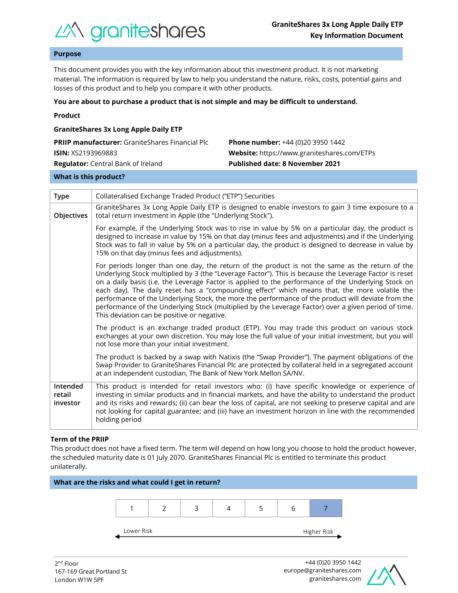

## **Purpose**

This document provides you with the key information about this investment product. It is not marketing material. The information is required by law to help you understand the nature, risks, costs, potential gains and losses of this product and to help you compare it with other products.

#### **You are about to purchase a product that is not simple and may be difficult to understand.**

|  | Product |  |
|--|---------|--|
|  |         |  |

| <b>GraniteShares 3x Long Apple Daily ETP</b>           |                                             |  |  |  |  |
|--------------------------------------------------------|---------------------------------------------|--|--|--|--|
| <b>PRIIP manufacturer:</b> GraniteShares Financial Plc | <b>Phone number:</b> +44 (0)20 3950 1442    |  |  |  |  |
| <b>ISIN:</b> XS2193969883                              | Website: https://www.graniteshares.com/ETPs |  |  |  |  |
| <b>Regulator:</b> Central Bank of Ireland              | <b>Published date: 8 November 2021</b>      |  |  |  |  |
|                                                        |                                             |  |  |  |  |

#### **What is this product?**

| <b>Type</b>                    | Collateralised Exchange Traded Product ("ETP") Securities                                                                                                                                                                                                                                                                                                                                                                                                                                                                                                                                                                                                                      |  |  |  |  |
|--------------------------------|--------------------------------------------------------------------------------------------------------------------------------------------------------------------------------------------------------------------------------------------------------------------------------------------------------------------------------------------------------------------------------------------------------------------------------------------------------------------------------------------------------------------------------------------------------------------------------------------------------------------------------------------------------------------------------|--|--|--|--|
| Objectives                     | GraniteShares 3x Long Apple Daily ETP is designed to enable investors to gain 3 time exposure to a<br>total return investment in Apple (the "Underlying Stock").                                                                                                                                                                                                                                                                                                                                                                                                                                                                                                               |  |  |  |  |
|                                | For example, if the Underlying Stock was to rise in value by 5% on a particular day, the product is<br>designed to increase in value by 15% on that day (minus fees and adjustments) and if the Underlying<br>Stock was to fall in value by 5% on a particular day, the product is designed to decrease in value by<br>15% on that day (minus fees and adjustments).                                                                                                                                                                                                                                                                                                           |  |  |  |  |
|                                | For periods longer than one day, the return of the product is not the same as the return of the<br>Underlying Stock multiplied by 3 (the "Leverage Factor"). This is because the Leverage Factor is reset<br>on a daily basis (i.e. the Leverage Factor is applied to the performance of the Underlying Stock on<br>each day). The daily reset has a "compounding effect" which means that, the more volatile the<br>performance of the Underlying Stock, the more the performance of the product will deviate from the<br>performance of the Underlying Stock (multiplied by the Leverage Factor) over a given period of time.<br>This deviation can be positive or negative. |  |  |  |  |
|                                | The product is an exchange traded product (ETP). You may trade this product on various stock<br>exchanges at your own discretion. You may lose the full value of your initial investment, but you will<br>not lose more than your initial investment.                                                                                                                                                                                                                                                                                                                                                                                                                          |  |  |  |  |
|                                | The product is backed by a swap with Natixis (the "Swap Provider"). The payment obligations of the<br>Swap Provider to GraniteShares Financial Plc are protected by collateral held in a segregated account<br>at an independent custodian, The Bank of New York Mellon SA/NV.                                                                                                                                                                                                                                                                                                                                                                                                 |  |  |  |  |
| Intended<br>retail<br>investor | This product is intended for retail investors who: (i) have specific knowledge or experience of<br>investing in similar products and in financial markets, and have the ability to understand the product<br>and its risks and rewards; (ii) can bear the loss of capital, are not seeking to preserve capital and are<br>not looking for capital guarantee; and (iii) have an investment horizon in line with the recommended<br>holding period                                                                                                                                                                                                                               |  |  |  |  |

#### **Term of the PRIIP**

This product does not have a fixed term. The term will depend on how long you choose to hold the product however, the scheduled maturity date is 01 July 2070. GraniteShares Financial Plc is entitled to terminate this product unilaterally.



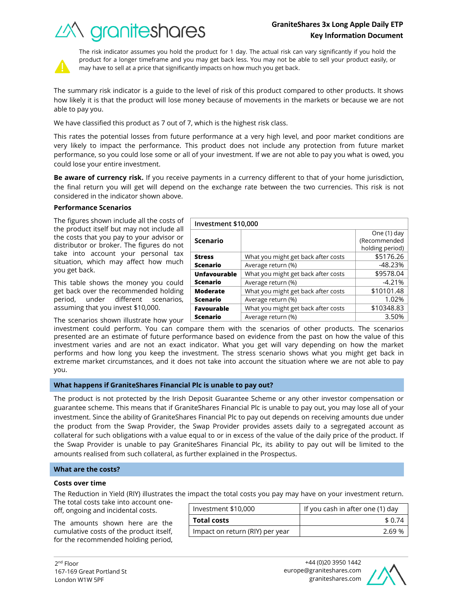# **GraniteShares 3x Long Apple Daily ETP Key Information Document**

What you might get back after costs | \$5176.26 Average return (%) and the set of the set of the set of the set of the set of the set of the set of the set of the set of the set of the set of the set of the set of the set of the set of the set of the set of the set of t

What you might get back after costs | \$9578.04 Average return  $(\%)$   $\qquad \qquad$   $\qquad \qquad$  -4.21%

What you might get back after costs  $\sim$  \$10101.48 Average return (%) and the set of the 1.02%





The risk indicator assumes you hold the product for 1 day. The actual risk can vary significantly if you hold the product for a longer timeframe and you may get back less. You may not be able to sell your product easily, or may have to sell at a price that significantly impacts on how much you get back.

The summary risk indicator is a guide to the level of risk of this product compared to other products. It shows how likely it is that the product will lose money because of movements in the markets or because we are not able to pay you.

We have classified this product as 7 out of 7, which is the highest risk class.

This rates the potential losses from future performance at a very high level, and poor market conditions are very likely to impact the performance. This product does not include any protection from future market performance, so you could lose some or all of your investment. If we are not able to pay you what is owed, you could lose your entire investment.

**Be aware of currency risk.** If you receive payments in a currency different to that of your home jurisdiction, the final return you will get will depend on the exchange rate between the two currencies. This risk is not considered in the indicator shown above.

**Investment \$10,000**

**Scenario**

**Unfavourable Scenario**

**Moderate Scenario**

**Favourable** 

**Stress Scenario**

## **Performance Scenarios**

The figures shown include all the costs of the product itself but may not include all the costs that you pay to your advisor or distributor or broker. The figures do not take into account your personal tax situation, which may affect how much you get back.

This table shows the money you could get back over the recommended holding period, under different scenarios, assuming that you invest \$10,000.

The scenarios shown illustrate how your

investment could perform. You can compare them with the scenarios of other products. The scenarios presented are an estimate of future performance based on evidence from the past on how the value of this investment varies and are not an exact indicator. What you get will vary depending on how the market performs and how long you keep the investment. The stress scenario shows what you might get back in extreme market circumstances, and it does not take into account the situation where we are not able to pay you. **Scenario** What you might get back after costs  $\vert$  \$10348.83 Average return (%) and the set of the set of the set of the set of the set of the set of the set of the set of the set of the set of the set of the set of the set of the set of the set of the set of the set of the set of t

## **What happens if GraniteShares Financial Plc is unable to pay out?**

The product is not protected by the Irish Deposit Guarantee Scheme or any other investor compensation or guarantee scheme. This means that if GraniteShares Financial Plc is unable to pay out, you may lose all of your investment. Since the ability of GraniteShares Financial Plc to pay out depends on receiving amounts due under the product from the Swap Provider, the Swap Provider provides assets daily to a segregated account as collateral for such obligations with a value equal to or in excess of the value of the daily price of the product. If the Swap Provider is unable to pay GraniteShares Financial Plc, its ability to pay out will be limited to the amounts realised from such collateral, as further explained in the Prospectus.

## **What are the costs?**

#### **Costs over time**

The Reduction in Yield (RIY) illustrates the impact the total costs you pay may have on your investment return.

The total costs take into account oneoff, ongoing and incidental costs.

The amounts shown here are the cumulative costs of the product itself, for the recommended holding period,

| Investment \$10,000             | If you cash in after one (1) day |  |
|---------------------------------|----------------------------------|--|
| <b>Total costs</b>              | \$ 0.74                          |  |
| Impact on return (RIY) per year | 269%                             |  |



One (1) day (Recommended holding period)